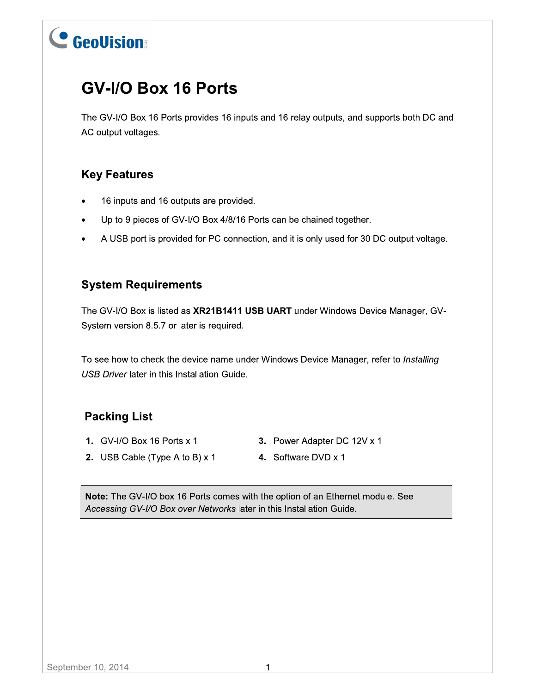## **GV-I/O Box 16 Ports**

The GV-I/O Box 16 Ports provides 16 inputs and 16 relay outputs, and supports both DC and AC output voltages.

## **Key Features**

- 16 inputs and 16 outputs are provided.
- Up to 9 pieces of GV-I/O Box 4/8/16 Ports can be chained together.  $\bullet$
- A USB port is provided for PC connection, and it is only used for 30 DC output voltage.  $\bullet$

## **System Requirements**

The GV-I/O Box is listed as XR21B1411 USB UART under Windows Device Manager, GV-System version 8.5.7 or later is required.

To see how to check the device name under Windows Device Manager, refer to Installing USB Driver later in this Installation Guide.

## **Packing List**

- 1. GV-I/O Box 16 Ports x 1
- 3. Power Adapter DC 12V x 1
- 2. USB Cable (Type A to B)  $\times$  1
- 4. Software DVD x 1

Note: The GV-I/O box 16 Ports comes with the option of an Ethernet module. See Accessing GV-I/O Box over Networks later in this Installation Guide.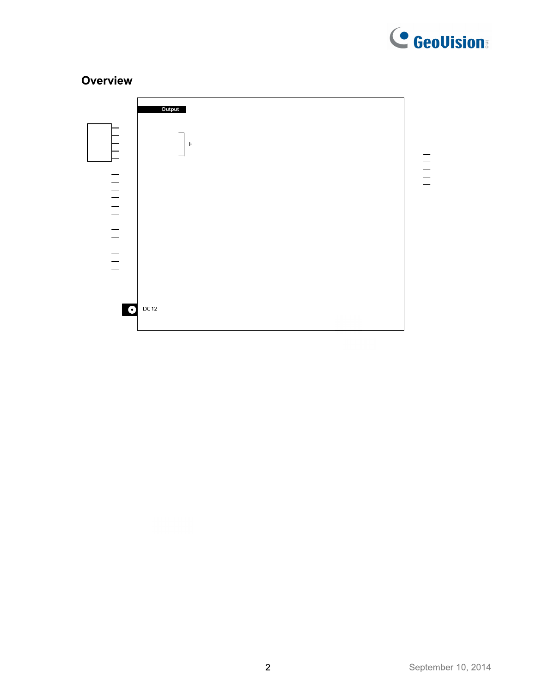

## Overview

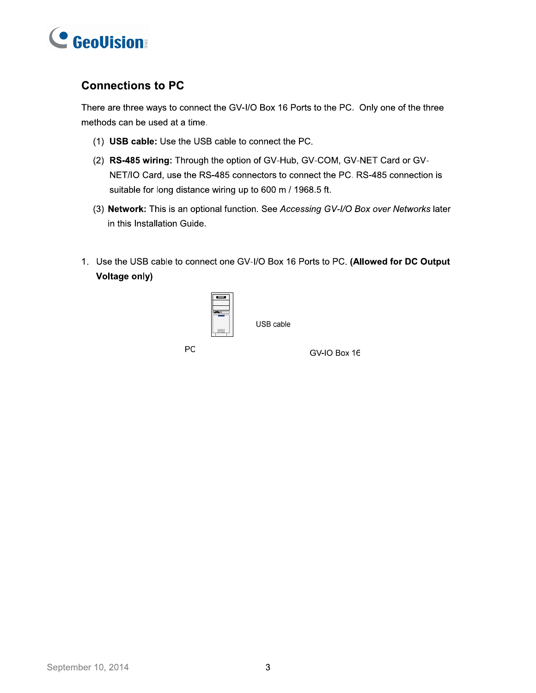

### **Connections to PC**

There are three ways to connect the GV-I/O Box 16 Ports to the PC. Only one of the three methods can be used at a time.

- (1) USB cable: Use the USB cable to connect the PC.
- (2) RS-485 wiring: Through the option of GV-Hub, GV-COM, GV-NET Card or GV-NET/IO Card, use the RS-485 connectors to connect the PC. RS-485 connection is suitable for long distance wiring up to 600 m / 1968.5 ft.
- (3) Network: This is an optional function. See Accessing GV-I/O Box over Networks later in this Installation Guide.
- 1. Use the USB cable to connect one GV-I/O Box 16 Ports to PC. (Allowed for DC Output **Voltage only)**



USB cable

PC

GV-IO Box 16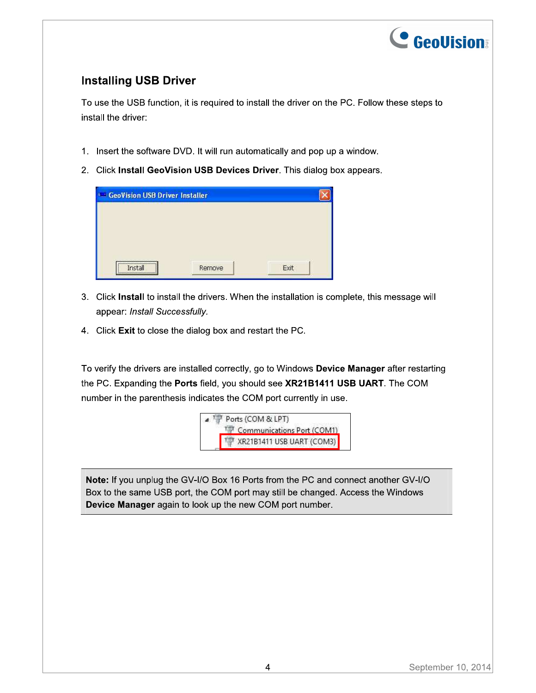

## **Installing USB Driver**

To use the USB function, it is required to install the driver on the PC. Follow these steps to install the driver:

- 1. Insert the software DVD. It will run automatically and pop up a window.
- 2. Click Install GeoVision USB Devices Driver. This dialog box appears.

- 3. Click Install to install the drivers. When the installation is complete, this message will appear: Install Successfully.
- 4. Click Exit to close the dialog box and restart the PC.

To verify the drivers are installed correctly, go to Windows Device Manager after restarting the PC. Expanding the Ports field, you should see XR21B1411 USB UART. The COM number in the parenthesis indicates the COM port currently in use.



Note: If you unplug the GV-I/O Box 16 Ports from the PC and connect another GV-I/O Box to the same USB port, the COM port may still be changed. Access the Windows Device Manager again to look up the new COM port number.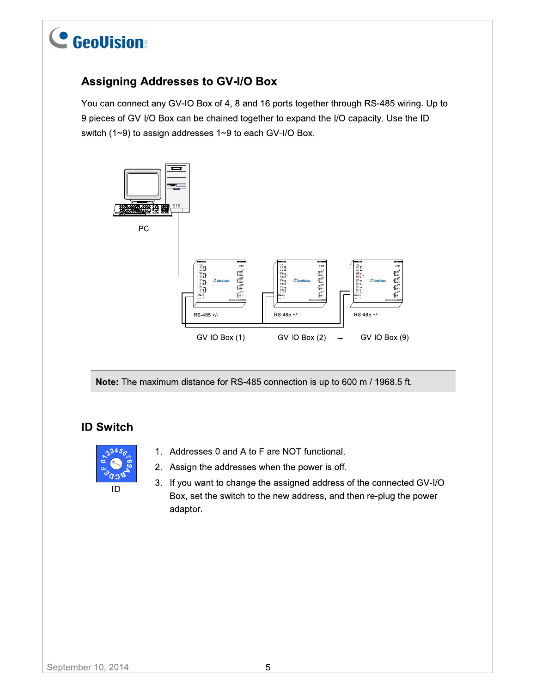

## **Assigning Addresses to GV-I/O Box**

You can connect any GV-IO Box of 4, 8 and 16 ports together through RS-485 wiring. Up to 9 pieces of GV-I/O Box can be chained together to expand the I/O capacity. Use the ID switch (1~9) to assign addresses 1~9 to each GV-I/O Box.



Note: The maximum distance for RS-485 connection is up to 600 m / 1968.5 ft.

### **ID Switch**



- 1. Addresses 0 and A to F are NOT functional.
- 2. Assign the addresses when the power is off.
- 3. If you want to change the assigned address of the connected GV-I/O Box, set the switch to the new address, and then re-plug the power adaptor.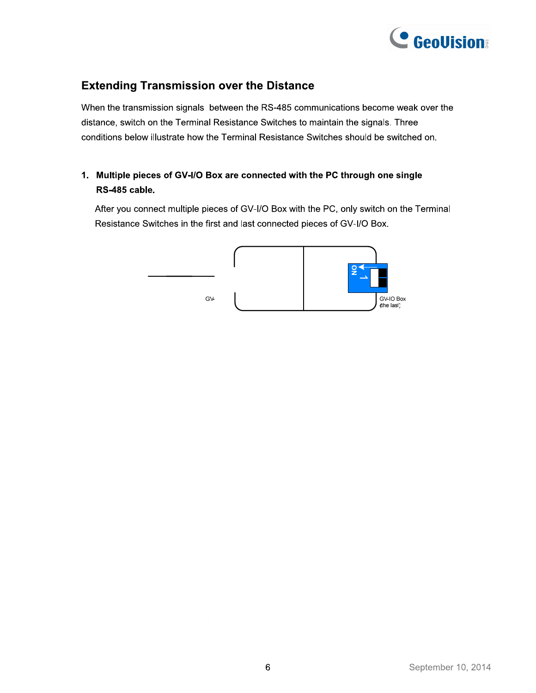

## **Extending Transmission over the Distance**

When the transmission signals between the RS-485 communications become weak over the distance, switch on the Terminal Resistance Switches to maintain the signals. Three conditions below illustrate how the Terminal Resistance Switches should be switched on.

#### 1. Multiple pieces of GV-I/O Box are connected with the PC through one single RS-485 cable.

After you connect multiple pieces of GV-I/O Box with the PC, only switch on the Terminal Resistance Switches in the first and last connected pieces of GV-I/O Box.

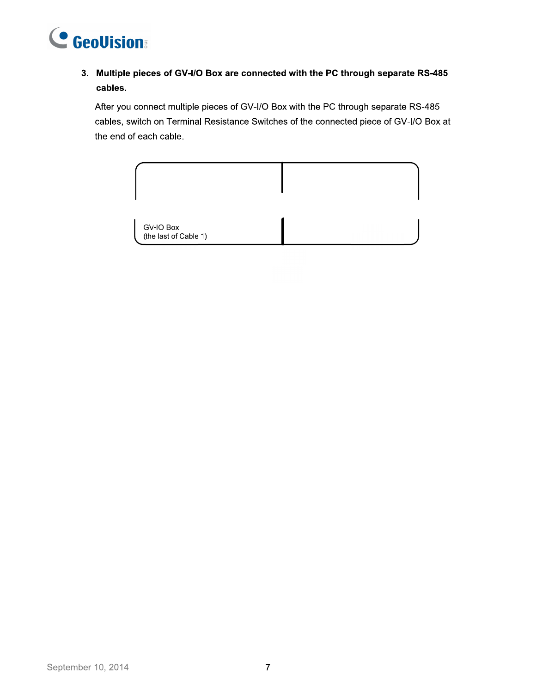

#### 3. Multiple pieces of GV-I/O Box are connected with the PC through separate RS-485 cables.

After you connect multiple pieces of GV-I/O Box with the PC through separate RS-485 cables, switch on Terminal Resistance Switches of the connected piece of GV-I/O Box at the end of each cable.

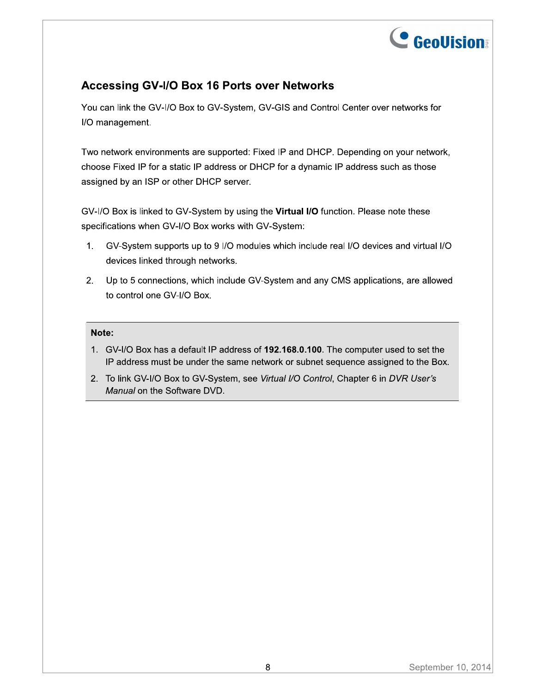

## **Accessing GV-I/O Box 16 Ports over Networks**

You can link the GV-I/O Box to GV-System, GV-GIS and Control Center over networks for I/O management.

Two network environments are supported: Fixed IP and DHCP. Depending on your network, choose Fixed IP for a static IP address or DHCP for a dynamic IP address such as those assigned by an ISP or other DHCP server.

GV-I/O Box is linked to GV-System by using the Virtual I/O function. Please note these specifications when GV-I/O Box works with GV-System:

- GV-System supports up to 9 I/O modules which include real I/O devices and virtual I/O  $1.$ devices linked through networks.
- 2. Up to 5 connections, which include GV-System and any CMS applications, are allowed to control one GV-I/O Box.

#### Note:

- 1. GV-I/O Box has a default IP address of 192.168.0.100. The computer used to set the IP address must be under the same network or subnet sequence assigned to the Box.
- 2. To link GV-I/O Box to GV-System, see Virtual I/O Control, Chapter 6 in DVR User's Manual on the Software DVD.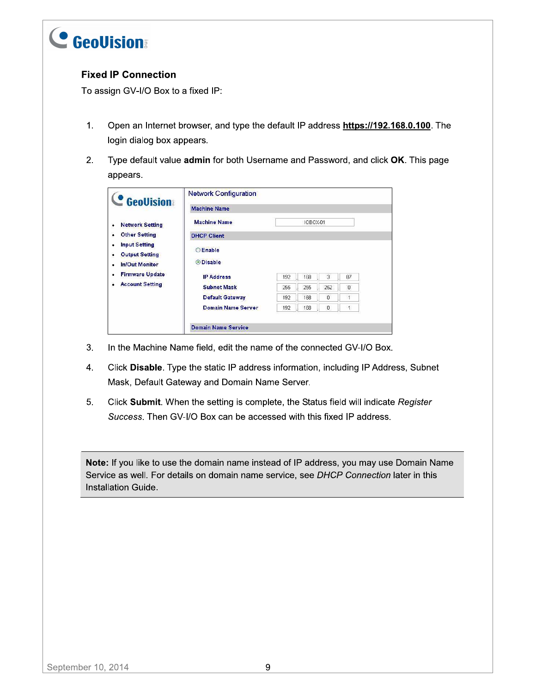

#### **Fixed IP Connection**

To assign GV-I/O Box to a fixed IP:

- $1.$ Open an Internet browser, and type the default IP address https://192.168.0.100. The login dialog box appears.
- $2.$ Type default value admin for both Username and Password, and click OK. This page appears.

| <b>GeoVision</b>                                                                      | <b>Network Configuration</b>      |     |     |                                       |        |  |
|---------------------------------------------------------------------------------------|-----------------------------------|-----|-----|---------------------------------------|--------|--|
|                                                                                       | <b>Machine Name</b>               |     |     |                                       |        |  |
| <b>Network Setting</b><br>$\bullet$                                                   | <b>Machine Name</b><br>IOBOX-01   |     |     |                                       |        |  |
| <b>Other Setting</b><br>٠                                                             | <b>DHCP Client</b>                |     |     |                                       |        |  |
| <b>Input Setting</b><br>٠<br><b>Output Setting</b><br>٠<br><b>In/Out Monitor</b><br>٠ | <b>CEnable</b><br><b>ODisable</b> |     |     |                                       |        |  |
| <b>Firmware Update</b><br>٠                                                           | <b>IP Address</b>                 | 192 | 168 | 3.                                    | 87     |  |
| <b>Account Setting</b><br>٠                                                           | <b>Subnet Mask</b>                | 255 | 255 | 252                                   | $\cup$ |  |
|                                                                                       | <b>Default Gateway</b>            | 192 | 168 | $\mathbb{O}$                          |        |  |
|                                                                                       | <b>Domain Name Server</b>         | 192 | 168 | $\begin{array}{c} 0 \\ 0 \end{array}$ |        |  |

- $3.$ In the Machine Name field, edit the name of the connected GV-I/O Box.
- 4. Click Disable. Type the static IP address information, including IP Address, Subnet Mask, Default Gateway and Domain Name Server.
- 5. Click Submit. When the setting is complete, the Status field will indicate Register Success. Then GV-I/O Box can be accessed with this fixed IP address.

Note: If you like to use the domain name instead of IP address, you may use Domain Name Service as well. For details on domain name service, see DHCP Connection later in this Installation Guide.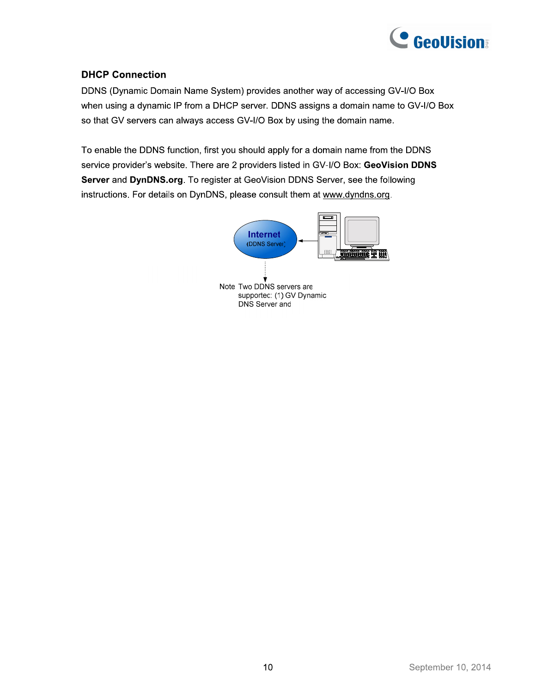

#### **DHCP Connection**

DDNS (Dynamic Domain Name System) provides another way of accessing GV-I/O Box when using a dynamic IP from a DHCP server. DDNS assigns a domain name to GV-I/O Box so that GV servers can always access GV-I/O Box by using the domain name.

To enable the DDNS function, first you should apply for a domain name from the DDNS service provider's website. There are 2 providers listed in GV-I/O Box: GeoVision DDNS Server and DynDNS.org. To register at GeoVision DDNS Server, see the following instructions. For details on DynDNS, please consult them at www.dyndns.org.

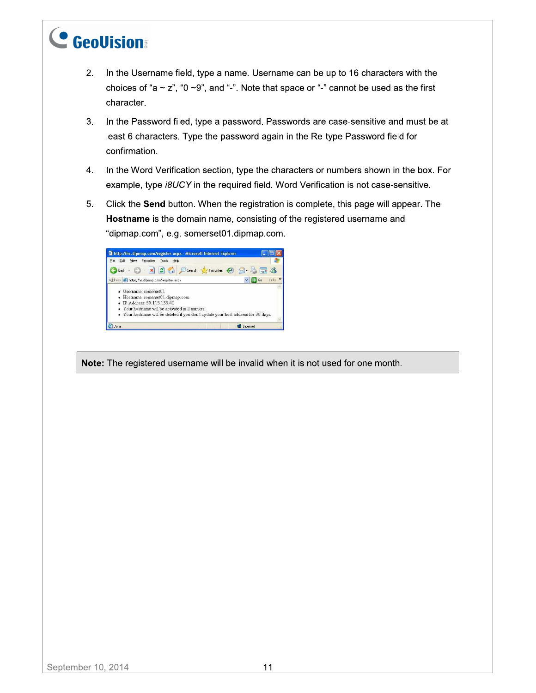- In the Username field, type a name. Username can be up to 16 characters with the  $2.$ choices of "a  $\sim$  z", "0  $\sim$ 9", and "-". Note that space or "-" cannot be used as the first character.
- $3.$ In the Password filed, type a password. Passwords are case-sensitive and must be at least 6 characters. Type the password again in the Re-type Password field for confirmation.
- 4. In the Word Verification section, type the characters or numbers shown in the box. For example, type i8UCY in the required field. Word Verification is not case-sensitive.
- Click the Send button. When the registration is complete, this page will appear. The  $5<sub>1</sub>$ Hostname is the domain name, consisting of the registered username and "dipmap.com", e.g. somerset01.dipmap.com.



Note: The registered username will be invalid when it is not used for one month.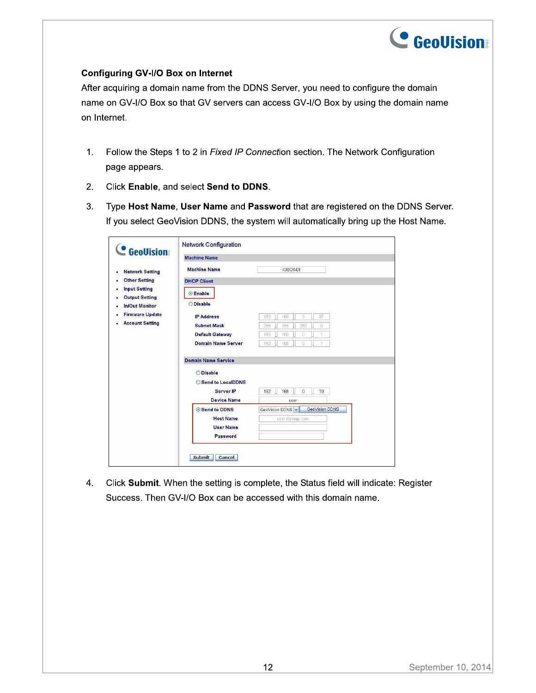

#### **Configuring GV-I/O Box on Internet**

After acquiring a domain name from the DDNS Server, you need to configure the domain name on GV-I/O Box so that GV servers can access GV-I/O Box by using the domain name on Internet.

- Follow the Steps 1 to 2 in Fixed IP Connection section. The Network Configuration  $1.$ page appears.
- $2.$ Click Enable, and select Send to DDNS.
- $3.$ Type Host Name, User Name and Password that are registered on the DDNS Server. If you select GeoVision DDNS, the system will automatically bring up the Host Name.

| <b>C</b> GeoVision     | <b>Machine Name</b>        |          |                 |     |                 |  |
|------------------------|----------------------------|----------|-----------------|-----|-----------------|--|
| <b>Network Setting</b> | <b>Machine Name</b>        | IOBOX-01 |                 |     |                 |  |
| <b>Other Setting</b>   | <b>DHCP Client</b>         |          |                 |     |                 |  |
| <b>Input Setting</b>   | <b>Enable</b>              |          |                 |     |                 |  |
| <b>Output Setting</b>  |                            |          |                 |     |                 |  |
| <b>In/Out Monitor</b>  | <b>ODisable</b>            |          |                 |     |                 |  |
| <b>Firmware Update</b> | <b>IP Address</b>          | 192      | 168             | 8   | 87              |  |
| <b>Account Setting</b> | <b>Subnet Mask</b>         | 255      | 255             | 252 | Ü               |  |
|                        | Default Gateway            | 192      | 168             | o   |                 |  |
|                        | <b>Domain Name Server</b>  | 192      | 168             | Ū   |                 |  |
|                        | <b>Domain Name Service</b> |          |                 |     |                 |  |
|                        | <b>ODisable</b>            |          |                 |     |                 |  |
|                        | Send to LocalDDNS          |          |                 |     |                 |  |
|                        | Server IP                  | 192      | 168             | 0   | 10 <sub>1</sub> |  |
|                        | <b>Device Name</b>         |          | user            |     |                 |  |
|                        | Send to DDNS               |          | GeoVision DDNS  |     | GeoVision DDNS  |  |
|                        | <b>Host Name</b>           |          | user dipmap com |     |                 |  |
|                        | <b>User Name</b>           |          |                 |     |                 |  |
|                        | Password                   |          |                 |     |                 |  |

Click Submit. When the setting is complete, the Status field will indicate: Register 4. Success. Then GV-I/O Box can be accessed with this domain name.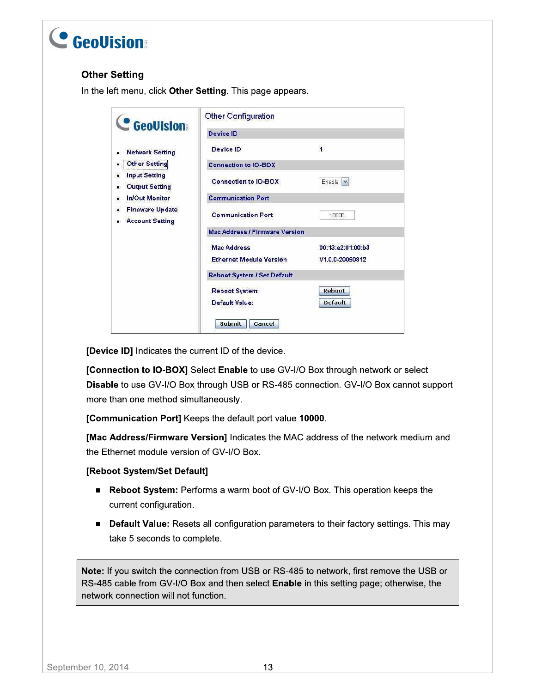#### **Other Setting**

In the left menu, click Other Setting. This page appears.

| <b>GeoVision</b>                                 | <b>Other Configuration</b>            |                   |  |  |  |
|--------------------------------------------------|---------------------------------------|-------------------|--|--|--|
|                                                  | <b>Device ID</b>                      |                   |  |  |  |
| <b>Network Setting</b>                           | Device ID                             | $\overline{1}$    |  |  |  |
| <b>Other Setting</b>                             | <b>Connection to IO-BOX</b>           |                   |  |  |  |
| <b>Input Setting</b><br><b>Output Setting</b>    | <b>Connection to IO-BOX</b>           | Enable $\vee$     |  |  |  |
| <b>In/Out Monitor</b>                            | <b>Communication Port</b>             |                   |  |  |  |
| <b>Firmware Update</b><br><b>Account Setting</b> | <b>Communication Port</b>             | 10000             |  |  |  |
|                                                  | <b>Mac Address / Firmware Version</b> |                   |  |  |  |
|                                                  | <b>Mac Address</b>                    | 00:13:e2:01:00:b3 |  |  |  |
|                                                  | <b>Ethernet Module Version</b>        | V1.0.0-20090812   |  |  |  |
|                                                  | <b>Reboot System / Set Default</b>    |                   |  |  |  |
|                                                  | <b>Reboot System:</b>                 | <b>Reboot</b>     |  |  |  |
|                                                  | <b>Default Value:</b>                 | <b>Default</b>    |  |  |  |
|                                                  | Submit<br>Cancel                      |                   |  |  |  |

[Device ID] Indicates the current ID of the device.

[Connection to IO-BOX] Select Enable to use GV-I/O Box through network or select Disable to use GV-I/O Box through USB or RS-485 connection. GV-I/O Box cannot support more than one method simultaneously.

[Communication Port] Keeps the default port value 10000.

[Mac Address/Firmware Version] Indicates the MAC address of the network medium and the Ethernet module version of GV-I/O Box.

#### [Reboot System/Set Default]

- Reboot System: Performs a warm boot of GV-I/O Box. This operation keeps the current configuration.
- **Default Value:** Resets all configuration parameters to their factory settings. This may take 5 seconds to complete.

Note: If you switch the connection from USB or RS-485 to network, first remove the USB or RS-485 cable from GV-I/O Box and then select **Enable** in this setting page; otherwise, the network connection will not function.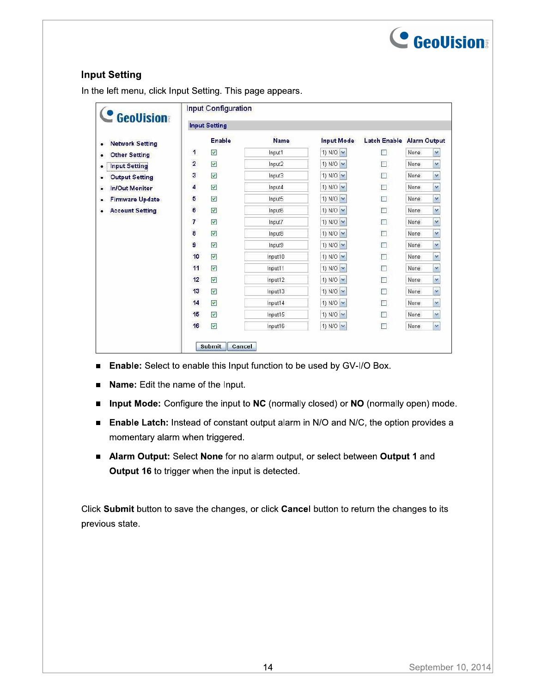

#### **Input Setting**

In the left menu, click Input Setting. This page appears.

| <b>C</b> GeoVision                  | Input Configuration<br><b>Input Setting</b> |                         |             |                             |                           |      |                      |  |
|-------------------------------------|---------------------------------------------|-------------------------|-------------|-----------------------------|---------------------------|------|----------------------|--|
|                                     |                                             |                         |             |                             |                           |      |                      |  |
| <b>Network Setting</b><br>$\bullet$ |                                             | <b>Enable</b>           | <b>Name</b> | <b>Input Mode</b>           | Latch Enable Alarm Output |      |                      |  |
| <b>Other Setting</b><br>٠           | 1                                           | V                       | Input1      | 1) N/O $\vee$               | П                         | None | Y                    |  |
| <b>Input Setting</b><br>۰           | $\overline{\mathbf{c}}$                     | $\overline{\mathsf{v}}$ | Input2      | 1) N/O $\sim$               | П                         | None | v                    |  |
| <b>Output Setting</b><br>٠          | 3                                           | $\checkmark$            | Input3      | 1) N/O V                    | П                         | None | $\check{ }$          |  |
| <b>In/Out Monitor</b><br>٠          | 4                                           | $\overline{\mathsf{v}}$ | Input4      | 1) N/O $\sim$               | П                         | None | Y                    |  |
| <b>Firmware Update</b><br>٠         | 5                                           | V                       | Input5      | 1) N/O $\vee$               | П                         | None | Y                    |  |
| <b>Account Setting</b><br>٠         | 6                                           | $\checkmark$            | Input6      | 1) N/O V                    | □                         | None | $\ddot{\phantom{1}}$ |  |
|                                     | $\overline{7}$                              | $\checkmark$            | Input7      | 1) N/O $\blacktriangledown$ | П                         | None | $\check{ }$          |  |
|                                     | 8                                           | $\checkmark$            | Input8      | 1) N/O $\sim$               | П                         | None | M                    |  |
|                                     | 9                                           | V                       | Input9      | $1) N/O \vee$               | П                         | None | Y                    |  |
|                                     | 10                                          | $\checkmark$            | Input10     | 1) N/O $\sim$               | $\Box$                    | None | v                    |  |
|                                     | 11                                          | $\checkmark$            | Input11     | 1) N/O $\blacktriangledown$ | П                         | None | $\check{ }$          |  |
|                                     | 12                                          | $\checkmark$            | Input12     | 1) N/O V                    | □                         | None | v                    |  |
|                                     | 13                                          | V                       | Input13     | 1) N/O $\vee$               | П                         | None | Y                    |  |
|                                     | 14                                          | $\checkmark$            | Input14     | 1) N/O $\sim$               | $\Box$                    | None | $\checkmark$         |  |
|                                     | 15                                          | $\checkmark$            | Input15     | $1) N/O$ $\vee$             | П                         | None | v                    |  |
|                                     | 16                                          | $\checkmark$            | Input16     | 1) N/O $\sim$               | □                         | None | ×                    |  |

- **Enable:** Select to enable this Input function to be used by GV-I/O Box.
- Name: Edit the name of the Input.
- Input Mode: Configure the input to NC (normally closed) or NO (normally open) mode.  $\blacksquare$
- **Enable Latch:** Instead of constant output alarm in N/O and N/C, the option provides a momentary alarm when triggered.
- Alarm Output: Select None for no alarm output, or select between Output 1 and Output 16 to trigger when the input is detected.

Click Submit button to save the changes, or click Cancel button to return the changes to its previous state.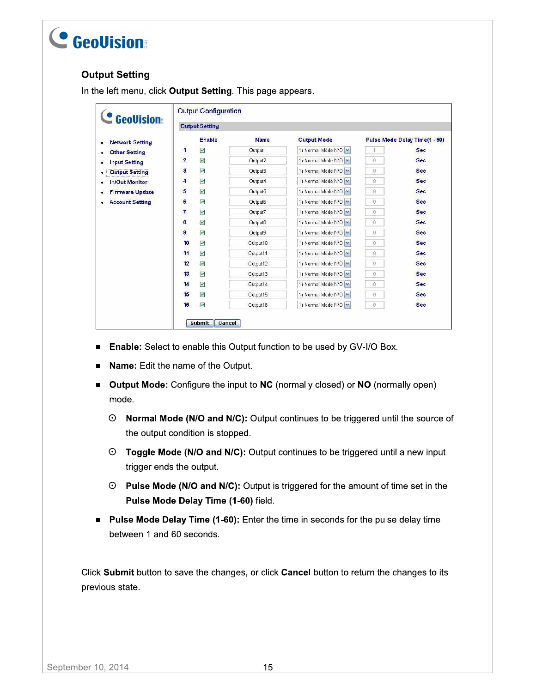### **Output Setting**

In the left menu, click Output Setting. This page appears.

| <b>GeoVision</b>            |                | <b>Output Setting</b>   |             |                      |              |                               |
|-----------------------------|----------------|-------------------------|-------------|----------------------|--------------|-------------------------------|
| <b>Network Setting</b>      |                | <b>Enable</b>           | <b>Name</b> | <b>Output Mode</b>   |              | Pulse Mode Delay Time(1 - 60) |
| <b>Other Setting</b><br>٠   | $\mathbf{1}$   | $\blacktriangledown$    | Output1     | 1) Normal Mode N/O V |              | <b>Sec</b>                    |
| <b>Input Setting</b><br>٠   | $\overline{2}$ | $\overline{\mathsf{v}}$ | Output2     | 1) Normal Mode N/O V | O            | <b>Sec</b>                    |
| <b>Output Setting</b>       | 3              | $\blacktriangledown$    | Output3     | 1) Normal Mode N/O   | Đ            | Sec                           |
| <b>In/Out Monitor</b>       | 4              | $\overline{\mathsf{v}}$ | Output4     | 1) Normal Mode N/O V | O            | Sec                           |
| <b>Firmware Update</b><br>٠ | 5              | $\blacktriangledown$    | Output5     | 1) Normal Mode N/O   | Đ            | <b>Sec</b>                    |
| <b>Account Setting</b><br>٠ | 6              | $\overline{\mathbf{v}}$ | Output6     | 1) Normal Mode N/O   | Ū            | <b>Sec</b>                    |
|                             | 7              | $\checkmark$            | Output7     | 1) Normal Mode N/O   | Đ            | Sec                           |
|                             | 8              | $\overline{\mathbf{v}}$ | Output8     | 1) Normal Mode N/O   | O            | Sec                           |
|                             | 9              | $\blacktriangledown$    | Output9     | 1) Normal Mode N/O   | Đ            | <b>Sec</b>                    |
|                             | 10             | $\triangledown$         | Output10    | 1) Normal Mode N/O   | O            | Sec                           |
|                             | 11             | $\blacktriangledown$    | Output11    | 1) Normal Mode N/O V | Đ            | <b>Sec</b>                    |
|                             | 12             | $\overline{\mathbf{v}}$ | Output12    | 1) Normal Mode N/O   | Đ            | <b>Sec</b>                    |
|                             | 13             | $\blacktriangledown$    | Output13    | 1) Normal Mode N/O   | Ū            | <b>Sec</b>                    |
|                             | 14             | $\overline{\mathbf{v}}$ | Output14    | 1) Normal Mode N/O   | O            | <b>Sec</b>                    |
|                             | 15             | $\blacktriangledown$    | Output15    | 1) Normal Mode N/O V | $\mathbb{D}$ | Sec                           |
|                             | 16             | $\overline{\mathbf{v}}$ | Output16    | 1) Normal Mode N/O V | O            | <b>Sec</b>                    |

- **Enable:** Select to enable this Output function to be used by GV-I/O Box.
- Name: Edit the name of the Output.
- Output Mode: Configure the input to NC (normally closed) or NO (normally open) mode.
	- ⊙ Normal Mode (N/O and N/C): Output continues to be triggered until the source of the output condition is stopped.
	- ⊙ Toggle Mode (N/O and N/C): Output continues to be triggered until a new input trigger ends the output.
	- ⊙ Pulse Mode (N/O and N/C): Output is triggered for the amount of time set in the Pulse Mode Delay Time (1-60) field.
- Pulse Mode Delay Time (1-60): Enter the time in seconds for the pulse delay time  $\blacksquare$ between 1 and 60 seconds.

Click Submit button to save the changes, or click Cancel button to return the changes to its previous state.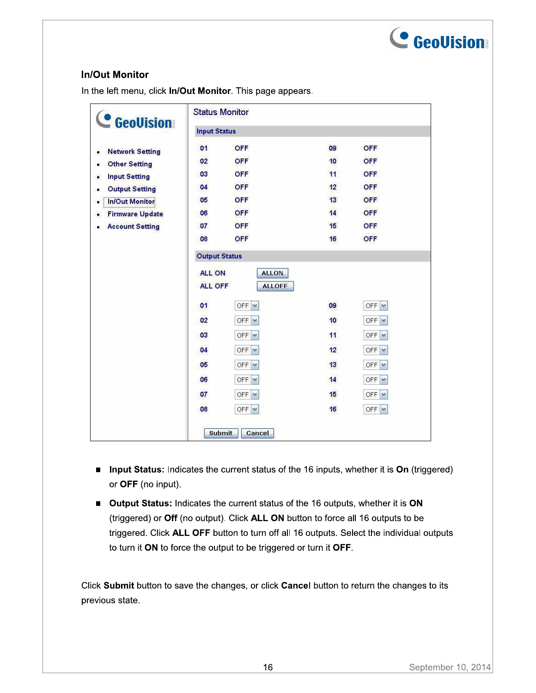

#### **In/Out Monitor**

In the left menu, click In/Out Monitor. This page appears.

| <b>C</b> GeoVision          | <b>Status Monitor</b> |                          |                  |              |  |
|-----------------------------|-----------------------|--------------------------|------------------|--------------|--|
|                             | <b>Input Status</b>   |                          |                  |              |  |
| <b>Network Setting</b><br>٠ | 01                    | <b>OFF</b>               | 09               | <b>OFF</b>   |  |
| <b>Other Setting</b><br>٠   | 02                    | <b>OFF</b>               | 10               | <b>OFF</b>   |  |
| <b>Input Setting</b><br>٠   | 03                    | <b>OFF</b>               | 11               | <b>OFF</b>   |  |
| <b>Output Setting</b><br>۰  | 04                    | OFF                      | 12               | <b>OFF</b>   |  |
| <b>In/Out Monitor</b><br>٠  | 05                    | <b>OFF</b>               | 13 <sup>°</sup>  | <b>OFF</b>   |  |
| <b>Firmware Update</b><br>۰ | 06                    | <b>OFF</b>               | 14               | <b>OFF</b>   |  |
| <b>Account Setting</b><br>۰ | 07                    | <b>OFF</b>               | 15 <sup>15</sup> | <b>OFF</b>   |  |
|                             | 08                    | <b>OFF</b>               | 16               | OFF          |  |
|                             | <b>Output Status</b>  |                          |                  |              |  |
|                             | <b>ALL ON</b>         | <b>ALLON</b>             |                  |              |  |
|                             | <b>ALL OFF</b>        | <b>ALLOFF</b>            |                  |              |  |
|                             | 01                    | OFF $\triangledown$      | 09               | $OFF$ $\vee$ |  |
|                             | 02                    | OFF                      | 10               | $OFF$ $\vee$ |  |
|                             | 03                    | OFF                      | 11               | OFF          |  |
|                             | 04                    | OFF                      | 12               | $OFF$ $\vee$ |  |
|                             | 05                    | OFF $\sqrt{\phantom{a}}$ | 13               | $OFF$ $\vee$ |  |
|                             | 06                    | OFF                      | 14               | OFF          |  |
|                             | 07                    | OFF                      | 15               | $OFF$ $\vee$ |  |
|                             | 08                    | OFF                      | 16               | $OFF$ $\vee$ |  |
|                             |                       | <b>Submit</b><br>Cancel  |                  |              |  |

- **Input Status:** Indicates the current status of the 16 inputs, whether it is On (triggered) or OFF (no input).
- Output Status: Indicates the current status of the 16 outputs, whether it is ON (triggered) or Off (no output). Click ALL ON button to force all 16 outputs to be triggered. Click ALL OFF button to turn off all 16 outputs. Select the individual outputs to turn it ON to force the output to be triggered or turn it OFF.

Click Submit button to save the changes, or click Cancel button to return the changes to its previous state.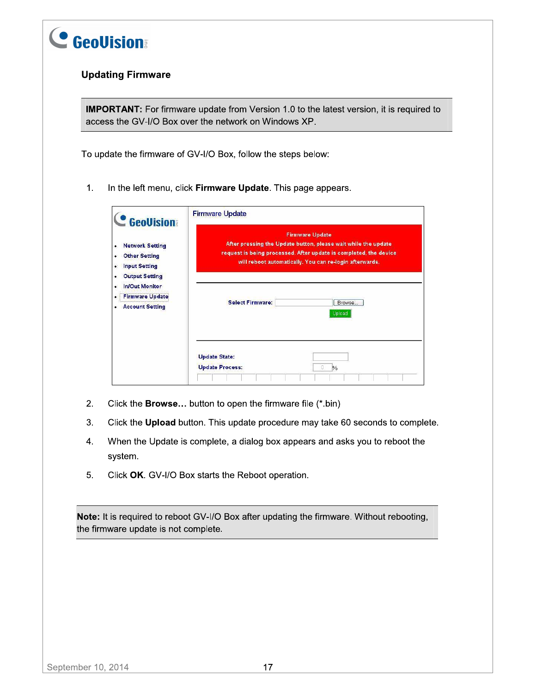

#### **Updating Firmware**

**IMPORTANT:** For firmware update from Version 1.0 to the latest version, it is required to access the GV-I/O Box over the network on Windows XP.

To update the firmware of GV-I/O Box, follow the steps below:

 $1.$ In the left menu, click Firmware Update. This page appears.

| <b>GeoVision</b>                                                                                                    | <b>Firmware Update</b>                                                                                                                                                                                                   |  |  |  |  |  |
|---------------------------------------------------------------------------------------------------------------------|--------------------------------------------------------------------------------------------------------------------------------------------------------------------------------------------------------------------------|--|--|--|--|--|
| <b>Network Setting</b><br>٠<br><b>Other Setting</b><br>٠<br><b>Input Setting</b><br>۰<br><b>Output Setting</b><br>٠ | <b>Firmware Update</b><br>After pressing the Update button, please wait while the update<br>request is being processed. After update is completed, the device<br>will reboot automatically. You can re-login afterwards. |  |  |  |  |  |
| <b>In/Out Monitor</b><br>ó<br><b>Firmware Update</b><br>٠<br><b>Account Setting</b><br>٠                            | <b>Select Firmware:</b><br>Browse<br>Upload                                                                                                                                                                              |  |  |  |  |  |
|                                                                                                                     | <b>Update State:</b><br><b>Update Process:</b><br>n<br>$\frac{0}{n}$                                                                                                                                                     |  |  |  |  |  |

- 2. Click the Browse... button to open the firmware file (\*.bin)
- 3. Click the Upload button. This update procedure may take 60 seconds to complete.
- 4. When the Update is complete, a dialog box appears and asks you to reboot the system.
- 5. Click OK. GV-I/O Box starts the Reboot operation.

Note: It is required to reboot GV-I/O Box after updating the firmware. Without rebooting, the firmware update is not complete.